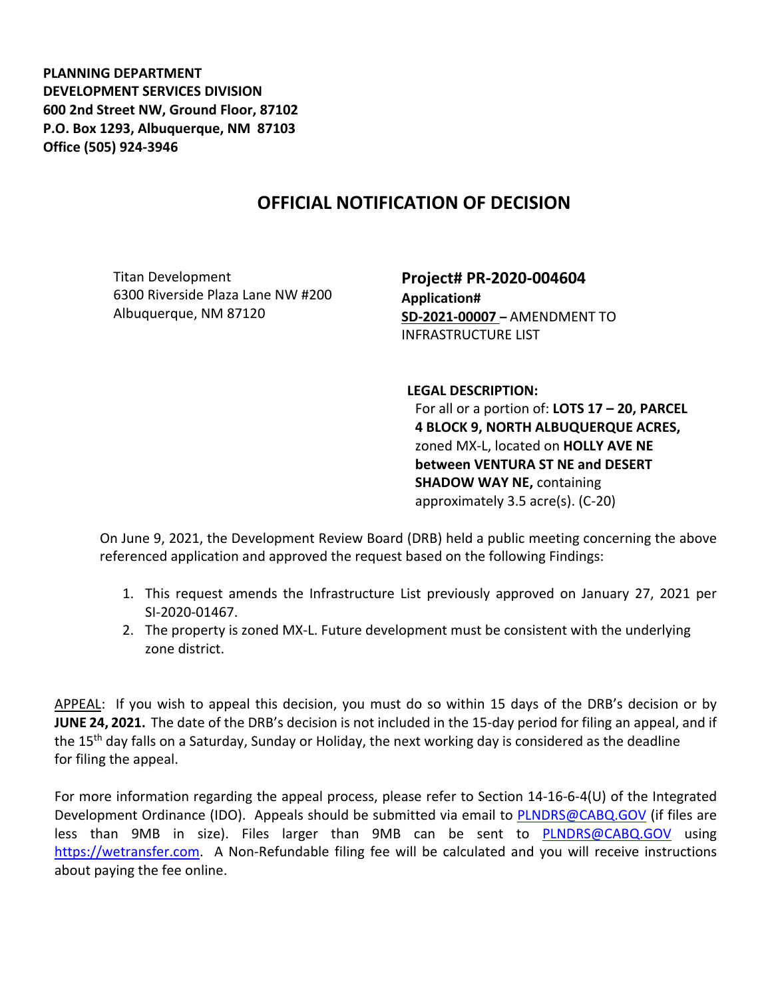**PLANNING DEPARTMENT DEVELOPMENT SERVICES DIVISION 600 2nd Street NW, Ground Floor, 87102 P.O. Box 1293, Albuquerque, NM 87103 Office (505) 924-3946** 

## **OFFICIAL NOTIFICATION OF DECISION**

Titan Development 6300 Riverside Plaza Lane NW #200 Albuquerque, NM 87120

**Project# PR-2020-004604 Application# SD-2021-00007 –** AMENDMENT TO INFRASTRUCTURE LIST

**LEGAL DESCRIPTION:**

For all or a portion of: **LOTS 17 – 20, PARCEL 4 BLOCK 9, NORTH ALBUQUERQUE ACRES,**  zoned MX-L, located on **HOLLY AVE NE between VENTURA ST NE and DESERT SHADOW WAY NE,** containing approximately 3.5 acre(s). (C-20)

On June 9, 2021, the Development Review Board (DRB) held a public meeting concerning the above referenced application and approved the request based on the following Findings:

- 1. This request amends the Infrastructure List previously approved on January 27, 2021 per SI-2020-01467.
- 2. The property is zoned MX-L. Future development must be consistent with the underlying zone district.

APPEAL: If you wish to appeal this decision, you must do so within 15 days of the DRB's decision or by **JUNE 24, 2021.** The date of the DRB's decision is not included in the 15-day period for filing an appeal, and if the 15<sup>th</sup> day falls on a Saturday, Sunday or Holiday, the next working day is considered as the deadline for filing the appeal.

For more information regarding the appeal process, please refer to Section 14-16-6-4(U) of the Integrated Development Ordinance (IDO). Appeals should be submitted via email to [PLNDRS@CABQ.GOV](mailto:PLNDRS@CABQ.GOV) (if files are less than 9MB in size). Files larger than 9MB can be sent to [PLNDRS@CABQ.GOV](mailto:PLNDRS@CABQ.GOV) using [https://wetransfer.com.](https://wetransfer.com/) A Non-Refundable filing fee will be calculated and you will receive instructions about paying the fee online.